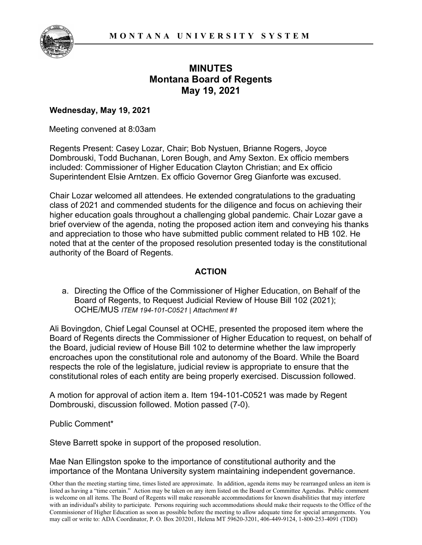

## **MINUTES Montana Board of Regents May 19, 2021**

## **Wednesday, May 19, 2021**

Meeting convened at 8:03am

Regents Present: Casey Lozar, Chair; Bob Nystuen, Brianne Rogers, Joyce Dombrouski, Todd Buchanan, Loren Bough, and Amy Sexton. Ex officio members included: Commissioner of Higher Education Clayton Christian; and Ex officio Superintendent Elsie Arntzen. Ex officio Governor Greg Gianforte was excused.

Chair Lozar welcomed all attendees. He extended congratulations to the graduating class of 2021 and commended students for the diligence and focus on achieving their higher education goals throughout a challenging global pandemic. Chair Lozar gave a brief overview of the agenda, noting the proposed action item and conveying his thanks and appreciation to those who have submitted public comment related to HB 102. He noted that at the center of the proposed resolution presented today is the constitutional authority of the Board of Regents.

## **ACTION**

a. Directing the Office of the Commissioner of Higher Education, on Behalf of the Board of Regents, to Request Judicial Review of House Bill 102 (2021); OCHE/MUS *ITEM 194-101-C0521 | Attachment #1*

Ali Bovingdon, Chief Legal Counsel at OCHE, presented the proposed item where the Board of Regents directs the Commissioner of Higher Education to request, on behalf of the Board, judicial review of House Bill 102 to determine whether the law improperly encroaches upon the constitutional role and autonomy of the Board. While the Board respects the role of the legislature, judicial review is appropriate to ensure that the constitutional roles of each entity are being properly exercised. Discussion followed.

A motion for approval of action item a. Item 194-101-C0521 was made by Regent Dombrouski, discussion followed. Motion passed (7-0).

Public Comment\*

Steve Barrett spoke in support of the proposed resolution.

Mae Nan Ellingston spoke to the importance of constitutional authority and the importance of the Montana University system maintaining independent governance.

Other than the meeting starting time, times listed are approximate. In addition, agenda items may be rearranged unless an item is listed as having a "time certain." Action may be taken on any item listed on the Board or Committee Agendas. Public comment is welcome on all items. The Board of Regents will make reasonable accommodations for known disabilities that may interfere with an individual's ability to participate. Persons requiring such accommodations should make their requests to the Office of the Commissioner of Higher Education as soon as possible before the meeting to allow adequate time for special arrangements. You may call or write to: ADA Coordinator, P. O. Box 203201, Helena MT 59620-3201, 406-449-9124, 1-800-253-4091 (TDD)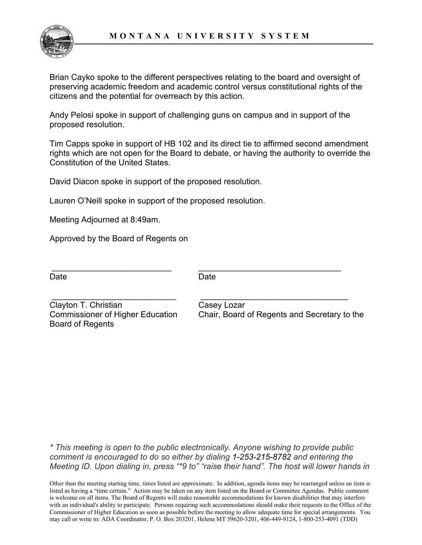

Brian Cayko spoke to the different perspectives relating to the board and oversight of preserving academic freedom and academic control versus constitutional rights of the citizens and the potential for overreach by this action.

Andy Pelosi spoke in support of challenging guns on campus and in support of the proposed resolution.

Tim Capps spoke in support of HB 102 and its direct tie to affirmed second amendment rights which are not open for the Board to debate, or having the authority to override the Constitution of the United States.

David Diacon spoke in support of the proposed resolution.

Lauren O'Neill spoke in support of the proposed resolution.

Meeting Adjourned at 8:49am.

Approved by the Board of Regents on

Date **Date** Date **Date** 

\_\_\_\_\_\_\_\_\_\_\_\_\_\_\_\_\_\_\_\_\_\_\_\_\_\_ \_\_\_\_\_\_\_\_\_\_\_\_\_\_\_\_\_\_\_\_\_\_\_\_\_\_\_\_\_\_\_

\_\_\_\_\_\_\_\_\_\_\_\_\_\_\_\_\_\_\_\_\_\_\_\_\_\_\_ \_\_\_\_\_\_\_\_\_\_\_\_\_\_\_\_\_\_\_\_\_\_\_\_\_\_\_\_\_\_\_\_

Clayton T. Christian Clayton T. Christian Board of Regents

Commissioner of Higher Education Chair, Board of Regents and Secretary to the

*\* This meeting is open to the public electronically. Anyone wishing to provide public comment is encouraged to do so either by dialing 1-253-215-8782 and entering the Meeting ID. Upon dialing in, press "\*9 to" "raise their hand". The host will lower hands in* 

Other than the meeting starting time, times listed are approximate. In addition, agenda items may be rearranged unless an item is listed as having a "time certain." Action may be taken on any item listed on the Board or Committee Agendas. Public comment is welcome on all items. The Board of Regents will make reasonable accommodations for known disabilities that may interfere with an individual's ability to participate. Persons requiring such accommodations should make their requests to the Office of the Commissioner of Higher Education as soon as possible before the meeting to allow adequate time for special arrangements. You may call or write to: ADA Coordinator, P. O. Box 203201, Helena MT 59620-3201, 406-449-9124, 1-800-253-4091 (TDD)